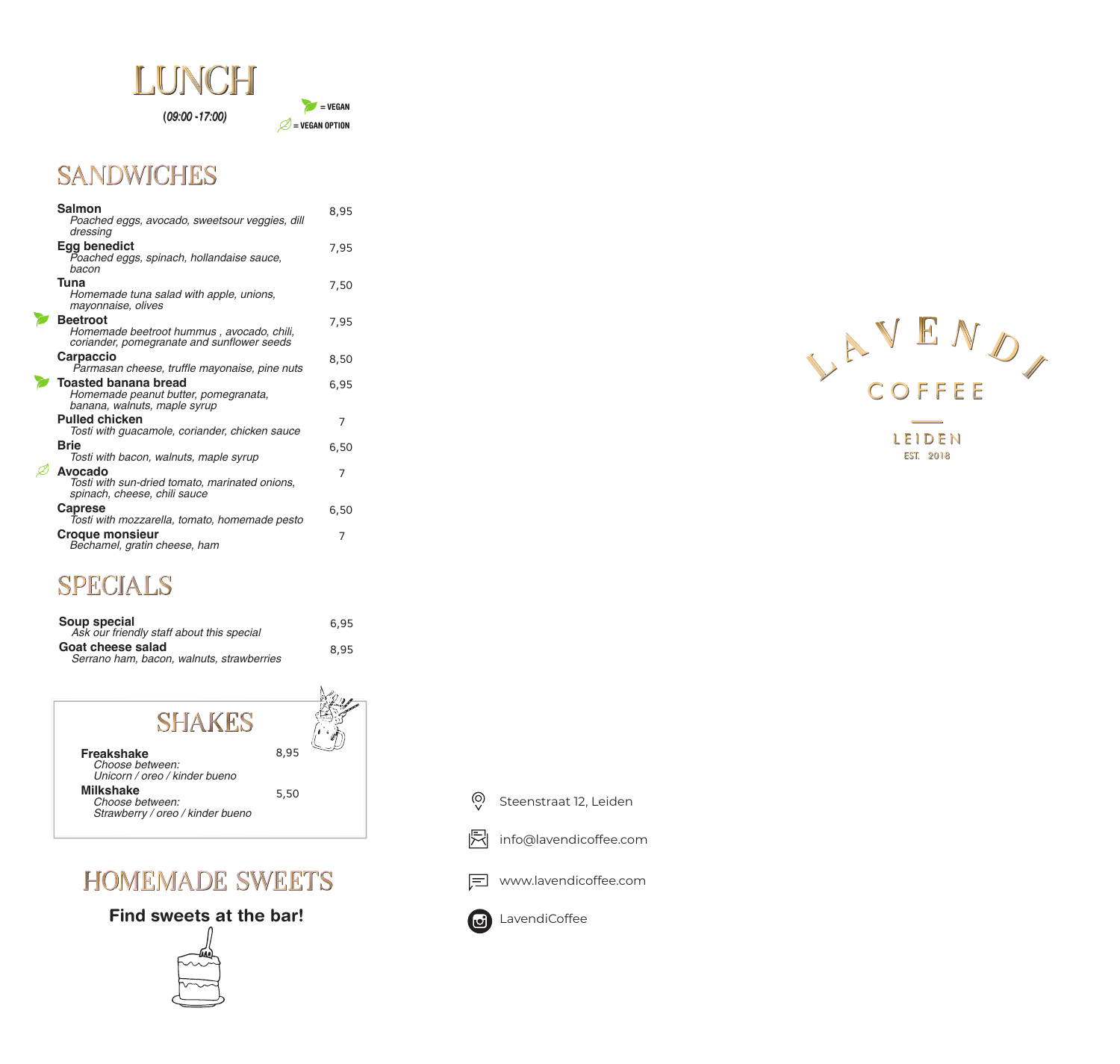

 $(09:00 - 17:00)$ 



# **SANDWICHES**

| Salmon                                                                                                     | 8,95 |
|------------------------------------------------------------------------------------------------------------|------|
| Poached eggs, avocado, sweetsour veggies, dill<br>dressing                                                 |      |
| <b>Egg benedict</b><br>Poached eggs, spinach, hollandaise sauce,<br>bacon                                  | 7,95 |
| Tuna<br>Homemade tuna salad with apple, unions,<br>mayonnaise, olives                                      | 7,50 |
| <b>Beetroot</b><br>Homemade beetroot hummus, avocado, chili,<br>coriander, pomegranate and sunflower seeds | 7,95 |
| <b>Carpaccio</b><br>Parmasan cheese, truffle mayonaise, pine nuts                                          | 8,50 |
| <b>Toasted banana bread</b><br>Homemade peanut butter, pomegranata,<br>banana, walnuts, maple syrup        | 6.95 |
| <b>Pulled chicken</b><br>Tosti with guacamole, coriander, chicken sauce                                    | 7    |
| <b>Brie</b><br>Tosti with bacon, walnuts, maple syrup                                                      | 6.50 |
| Avocado<br>Tosti with sun-dried tomato, marinated onions,<br>spinach, cheese, chili sauce                  | 7    |
| <b>Caprese</b><br>Tosti with mozzarella, tomato, homemade pesto                                            | 6,50 |
| <b>Croque monsieur</b><br>Bechamel, gratin cheese, ham                                                     | 7    |

# SPECIALS

| Soup special<br>Ask our friendly staff about this special      | 6.95 |
|----------------------------------------------------------------|------|
| Goat cheese salad<br>Serrano ham, bacon, walnuts, strawberries | 8.95 |



# **HOMEMADE SWEETS**

#### Find sweets at the bar!



 $\overline{\odot}$ Steenstraat 12, Leiden

- 凤 info@lavendicoffee.com
- □ www.lavendicoffee.com





LEIDEN **EST. 2018**